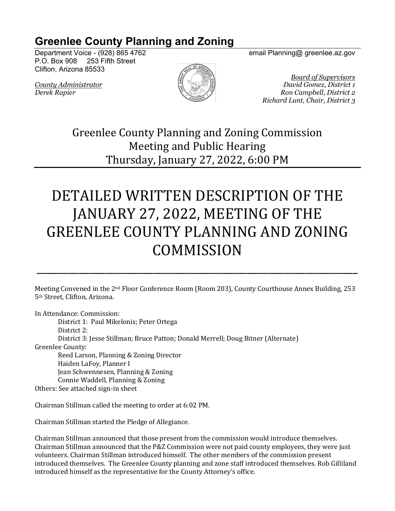## **Greenlee County Planning and Zoning**

Department Voice - (928) 865 4762 email Planning@ greenlee.az.gov P.O. Box 908 253 Fifth Street Clifton, Arizona 85533



*Board of Supervisors County Administrator David Gomez, District 1 Derek Rapier Ron Campbell, District 2 Richard Lunt, Chair, District 3*

> Greenlee County Planning and Zoning Commission Meeting and Public Hearing Thursday, January 27, 2022, 6:00 PM

## DETAILED WRITTEN DESCRIPTION OF THE JANUARY 27, 2022, MEETING OF THE GREENLEE COUNTY PLANNING AND ZONING **COMMISSION**

Meeting Convened in the 2<sup>nd</sup> Floor Conference Room (Room 203), County Courthouse Annex Building, 253 5<sup>th</sup> Street, Clifton, Arizona.

\_\_\_\_\_\_\_\_\_\_\_\_\_\_\_\_\_\_\_\_\_\_\_\_\_\_\_\_\_\_\_\_\_\_\_\_\_\_\_\_\_\_\_\_\_\_\_\_\_\_\_\_\_\_\_\_\_\_\_\_\_

In Attendance: Commission:

District 1: Paul Mikelonis; Peter Ortega District 2: District 3: Jesse Stillman; Bruce Patton; Donald Merrell; Doug Bitner (Alternate) Greenlee County: Reed Larson, Planning & Zoning Director

Haiden LaFoy, Planner I Jean Schwennesen, Planning & Zoning Connie Waddell, Planning & Zoning

Others: See attached sign-in sheet

Chairman Stillman called the meeting to order at 6:02 PM.

Chairman Stillman started the Pledge of Allegiance.

Chairman Stillman announced that those present from the commission would introduce themselves. Chairman Stillman announced that the P&Z Commission were not paid county employees, they were just volunteers. Chairman Stillman introduced himself. The other members of the commission present introduced themselves. The Greenlee County planning and zone staff introduced themselves. Rob Gilliland introduced himself as the representative for the County Attorney's office.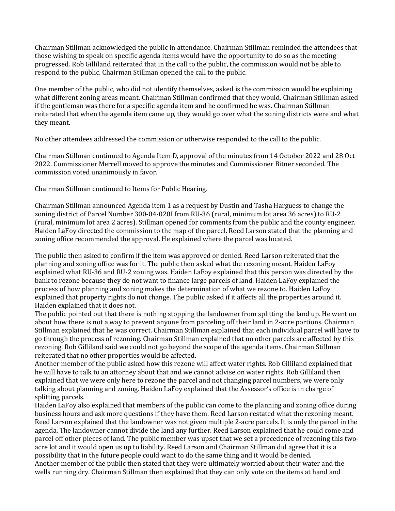Chairman Stillman acknowledged the public in attendance. Chairman Stillman reminded the attendees that those wishing to speak on specific agenda items would have the opportunity to do so as the meeting progressed. Rob Gilliland reiterated that in the call to the public, the commission would not be able to respond to the public. Chairman Stillman opened the call to the public.

One member of the public, who did not identify themselves, asked is the commission would be explaining what different zoning areas meant. Chairman Stillman confirmed that they would. Chairman Stillman asked if the gentleman was there for a specific agenda item and he confirmed he was. Chairman Stillman reiterated that when the agenda item came up, they would go over what the zoning districts were and what they meant.

No other attendees addressed the commission or otherwise responded to the call to the public.

Chairman Stillman continued to Agenda Item D, approval of the minutes from 14 October 2022 and 28 Oct 2022. Commissioner Merrell moved to approve the minutes and Commissioner Bitner seconded. The commission voted unanimously in favor.

Chairman Stillman continued to Items for Public Hearing.

Chairman Stillman announced Agenda item 1 as a request by Dustin and Tasha Harguess to change the zoning district of Parcel Number 300-04-020I from RU-36 (rural, minimum lot area 36 acres) to RU-2 (rural, minimum lot area 2 acres). Stillman opened for comments from the public and the county engineer. Haiden LaFoy directed the commission to the map of the parcel. Reed Larson stated that the planning and zoning office recommended the approval. He explained where the parcel was located.

The public then asked to confirm if the item was approved or denied. Reed Larson reiterated that the planning and zoning office was for it. The public then asked what the rezoning meant. Haiden LaFoy explained what RU-36 and RU-2 zoning was. Haiden LaFoy explained that this person was directed by the bank to rezone because they do not want to finance large parcels of land. Haiden LaFoy explained the process of how planning and zoning makes the determination of what we rezone to. Haiden LaFoy explained that property rights do not change. The public asked if it affects all the properties around it. Haiden explained that it does not.

The public pointed out that there is nothing stopping the landowner from splitting the land up. He went on about how there is not a way to prevent anyone from parceling off their land in 2-acre portions. Chairman Stillman explained that he was correct. Chairman Stillman explained that each individual parcel will have to go through the process of rezoning. Chairman Stillman explained that no other parcels are affected by this rezoning. Rob Gilliland said we could not go beyond the scope of the agenda items. Chairman Stillman reiterated that no other properties would be affected.

Another member of the public asked how this rezone will affect water rights. Rob Gilliland explained that he will have to talk to an attorney about that and we cannot advise on water rights. Rob Gilliland then explained that we were only here to rezone the parcel and not changing parcel numbers, we were only talking about planning and zoning. Haiden LaFoy explained that the Assessor's office is in charge of splitting parcels.

Haiden LaFoy also explained that members of the public can come to the planning and zoning office during business hours and ask more questions if they have them. Reed Larson restated what the rezoning meant. Reed Larson explained that the landowner was not given multiple 2-acre parcels. It is only the parcel in the agenda. The landowner cannot divide the land any further. Reed Larson explained that he could come and parcel off other pieces of land. The public member was upset that we set a precedence of rezoning this twoacre lot and it would open us up to liability. Reed Larson and Chairman Stillman did agree that it is a possibility that in the future people could want to do the same thing and it would be denied. Another member of the public then stated that they were ultimately worried about their water and the wells running dry. Chairman Stillman then explained that they can only vote on the items at hand and